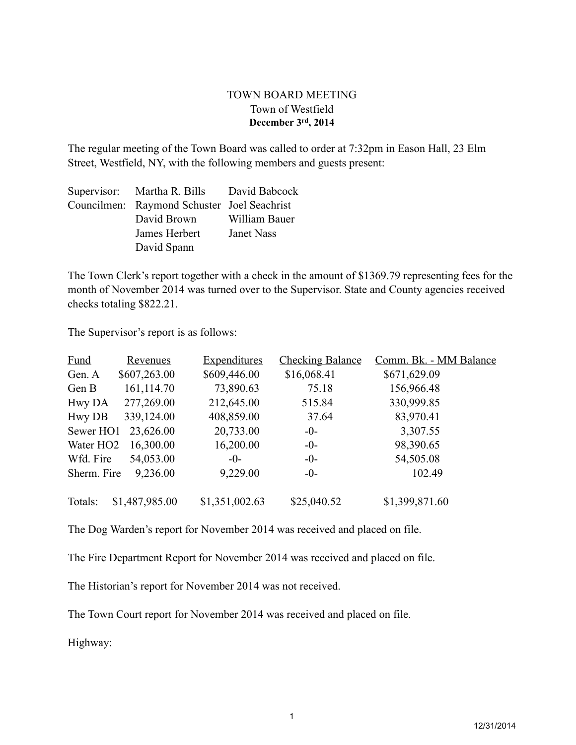## TOWN BOARD MEETING Town of Westfield **December 3rd, 2014**

The regular meeting of the Town Board was called to order at 7:32pm in Eason Hall, 23 Elm Street, Westfield, NY, with the following members and guests present:

| Supervisor: Martha R. Bills David Babcock   |               |
|---------------------------------------------|---------------|
| Councilmen: Raymond Schuster Joel Seachrist |               |
| David Brown                                 | William Bauer |
| James Herbert                               | Janet Nass    |
| David Spann                                 |               |

The Town Clerk's report together with a check in the amount of \$1369.79 representing fees for the month of November 2014 was turned over to the Supervisor. State and County agencies received checks totaling \$822.21.

The Supervisor's report is as follows:

| <b>Fund</b>           | <u>Revenues</u> | <b>Expenditures</b> | <b>Checking Balance</b> | Comm. Bk. - MM Balance |
|-----------------------|-----------------|---------------------|-------------------------|------------------------|
| Gen. A                | \$607,263.00    | \$609,446.00        | \$16,068.41             | \$671,629.09           |
| Gen B                 | 161,114.70      | 73,890.63           | 75.18                   | 156,966.48             |
| Hwy DA                | 277,269.00      | 212,645.00          | 515.84                  | 330,999.85             |
| Hwy DB                | 339,124.00      | 408,859.00          | 37.64                   | 83,970.41              |
| Sewer HO1             | 23,626.00       | 20,733.00           | $-0-$                   | 3,307.55               |
| Water HO <sub>2</sub> | 16,300.00       | 16,200.00           | $-0-$                   | 98,390.65              |
| Wfd. Fire             | 54,053.00       | $-0-$               | $-0-$                   | 54,505.08              |
| Sherm. Fire           | 9,236.00        | 9,229.00            | $-0-$                   | 102.49                 |
| Totals:               | \$1,487,985.00  | \$1,351,002.63      | \$25,040.52             | \$1,399,871.60         |

The Dog Warden's report for November 2014 was received and placed on file.

The Fire Department Report for November 2014 was received and placed on file.

The Historian's report for November 2014 was not received.

The Town Court report for November 2014 was received and placed on file.

Highway: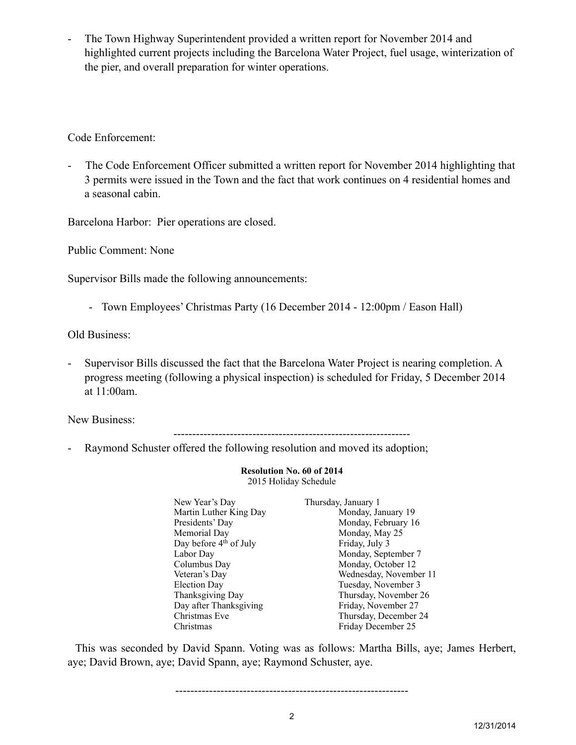The Town Highway Superintendent provided a written report for November 2014 and highlighted current projects including the Barcelona Water Project, fuel usage, winterization of the pier, and overall preparation for winter operations.

Code Enforcement:

- The Code Enforcement Officer submitted a written report for November 2014 highlighting that 3 permits were issued in the Town and the fact that work continues on 4 residential homes and a seasonal cabin.

Barcelona Harbor: Pier operations are closed.

Public Comment: None

Supervisor Bills made the following announcements:

- Town Employees' Christmas Party (16 December 2014 - 12:00pm / Eason Hall)

Old Business:

Supervisor Bills discussed the fact that the Barcelona Water Project is nearing completion. A progress meeting (following a physical inspection) is scheduled for Friday, 5 December 2014 at 11:00am.

New Business:

---------------------------------------------------------------

- Raymond Schuster offered the following resolution and moved its adoption;

**Resolution No. 60 of 2014** 2015 Holiday Schedule

| New Year's Day                     | Thursday, January 1    |
|------------------------------------|------------------------|
| Martin Luther King Day             | Monday, January 19     |
| Presidents' Day                    | Monday, February 16    |
| Memorial Day                       | Monday, May 25         |
| Day before 4 <sup>th</sup> of July | Friday, July 3         |
| Labor Day                          | Monday, September 7    |
| Columbus Day                       | Monday, October 12     |
| Veteran's Day                      | Wednesday, November 11 |
| Election Day                       | Tuesday, November 3    |
| Thanksgiving Day                   | Thursday, November 26  |
| Day after Thanksgiving             | Friday, November 27    |
| Christmas Eve                      | Thursday, December 24  |
| Christmas                          | Friday December 25     |

 This was seconded by David Spann. Voting was as follows: Martha Bills, aye; James Herbert, aye; David Brown, aye; David Spann, aye; Raymond Schuster, aye.

--------------------------------------------------------------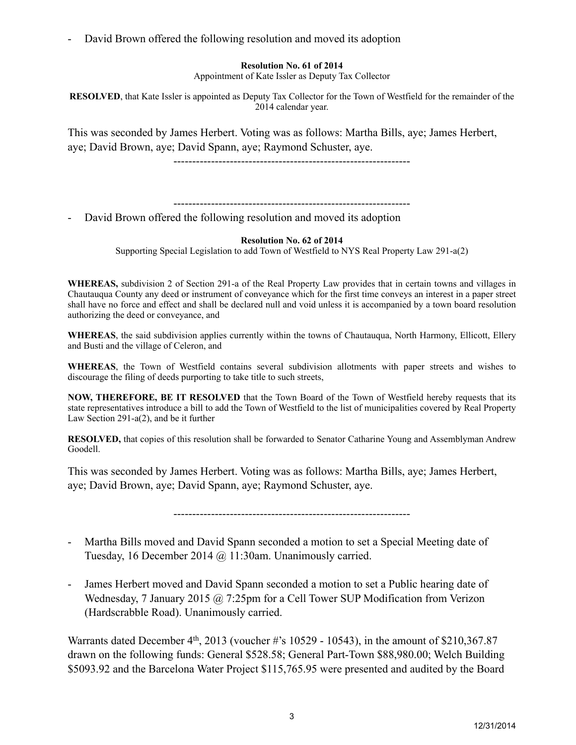David Brown offered the following resolution and moved its adoption

## **Resolution No. 61 of 2014**

Appointment of Kate Issler as Deputy Tax Collector

**RESOLVED**, that Kate Issler is appointed as Deputy Tax Collector for the Town of Westfield for the remainder of the 2014 calendar year.

This was seconded by James Herbert. Voting was as follows: Martha Bills, aye; James Herbert, aye; David Brown, aye; David Spann, aye; Raymond Schuster, aye.

---------------------------------------------------------------

---------------------------------------------------------------

David Brown offered the following resolution and moved its adoption

## **Resolution No. 62 of 2014**

Supporting Special Legislation to add Town of Westfield to NYS Real Property Law 291-a(2)

**WHEREAS,** subdivision 2 of Section 291-a of the Real Property Law provides that in certain towns and villages in Chautauqua County any deed or instrument of conveyance which for the first time conveys an interest in a paper street shall have no force and effect and shall be declared null and void unless it is accompanied by a town board resolution authorizing the deed or conveyance, and

**WHEREAS**, the said subdivision applies currently within the towns of Chautauqua, North Harmony, Ellicott, Ellery and Busti and the village of Celeron, and

**WHEREAS**, the Town of Westfield contains several subdivision allotments with paper streets and wishes to discourage the filing of deeds purporting to take title to such streets,

**NOW, THEREFORE, BE IT RESOLVED** that the Town Board of the Town of Westfield hereby requests that its state representatives introduce a bill to add the Town of Westfield to the list of municipalities covered by Real Property Law Section 291-a(2), and be it further

**RESOLVED,** that copies of this resolution shall be forwarded to Senator Catharine Young and Assemblyman Andrew Goodell.

This was seconded by James Herbert. Voting was as follows: Martha Bills, aye; James Herbert, aye; David Brown, aye; David Spann, aye; Raymond Schuster, aye.

---------------------------------------------------------------

- Martha Bills moved and David Spann seconded a motion to set a Special Meeting date of Tuesday, 16 December 2014 @ 11:30am. Unanimously carried.
- James Herbert moved and David Spann seconded a motion to set a Public hearing date of Wednesday, 7 January 2015 @ 7:25pm for a Cell Tower SUP Modification from Verizon (Hardscrabble Road). Unanimously carried.

Warrants dated December  $4<sup>th</sup>$ , 2013 (voucher #'s 10529 - 10543), in the amount of \$210,367.87 drawn on the following funds: General \$528.58; General Part-Town \$88,980.00; Welch Building \$5093.92 and the Barcelona Water Project \$115,765.95 were presented and audited by the Board